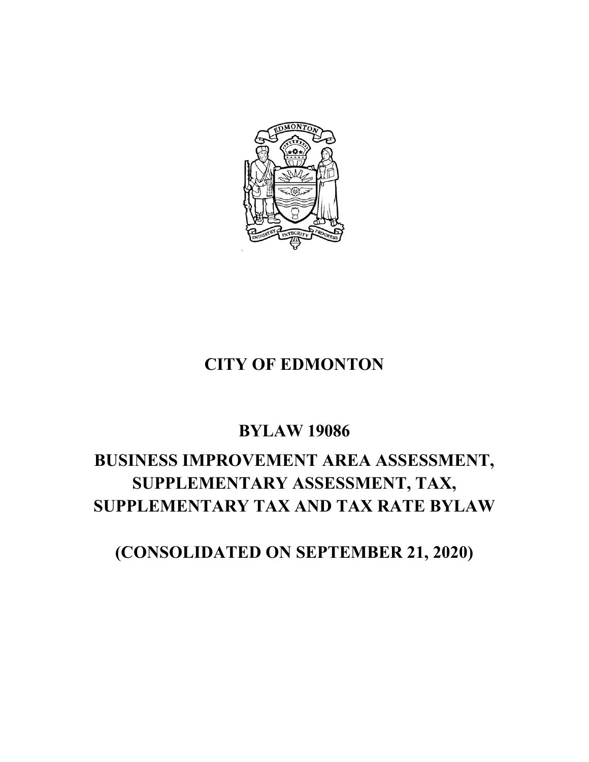

# **CITY OF EDMONTON**

# **BYLAW 19086**

# **BUSINESS IMPROVEMENT AREA ASSESSMENT, SUPPLEMENTARY ASSESSMENT, TAX, SUPPLEMENTARY TAX AND TAX RATE BYLAW**

**(CONSOLIDATED ON SEPTEMBER 21, 2020)**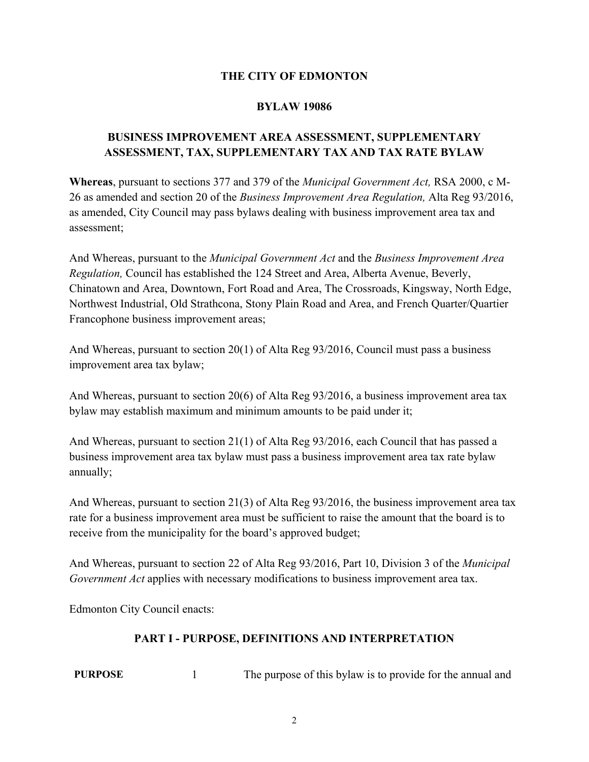### **THE CITY OF EDMONTON**

#### **BYLAW 19086**

# **BUSINESS IMPROVEMENT AREA ASSESSMENT, SUPPLEMENTARY ASSESSMENT, TAX, SUPPLEMENTARY TAX AND TAX RATE BYLAW**

**Whereas**, pursuant to sections 377 and 379 of the *Municipal Government Act,* RSA 2000, c M-26 as amended and section 20 of the *Business Improvement Area Regulation,* Alta Reg 93/2016, as amended, City Council may pass bylaws dealing with business improvement area tax and assessment;

And Whereas, pursuant to the *Municipal Government Act* and the *Business Improvement Area Regulation,* Council has established the 124 Street and Area, Alberta Avenue, Beverly, Chinatown and Area, Downtown, Fort Road and Area, The Crossroads, Kingsway, North Edge, Northwest Industrial, Old Strathcona, Stony Plain Road and Area, and French Quarter/Quartier Francophone business improvement areas;

And Whereas, pursuant to section 20(1) of Alta Reg 93/2016, Council must pass a business improvement area tax bylaw;

And Whereas, pursuant to section 20(6) of Alta Reg 93/2016, a business improvement area tax bylaw may establish maximum and minimum amounts to be paid under it;

And Whereas, pursuant to section 21(1) of Alta Reg 93/2016, each Council that has passed a business improvement area tax bylaw must pass a business improvement area tax rate bylaw annually;

And Whereas, pursuant to section 21(3) of Alta Reg 93/2016, the business improvement area tax rate for a business improvement area must be sufficient to raise the amount that the board is to receive from the municipality for the board's approved budget;

And Whereas, pursuant to section 22 of Alta Reg 93/2016, Part 10, Division 3 of the *Municipal Government Act* applies with necessary modifications to business improvement area tax.

Edmonton City Council enacts:

# **PART I - PURPOSE, DEFINITIONS AND INTERPRETATION**

**PURPOSE** 1 The purpose of this bylaw is to provide for the annual and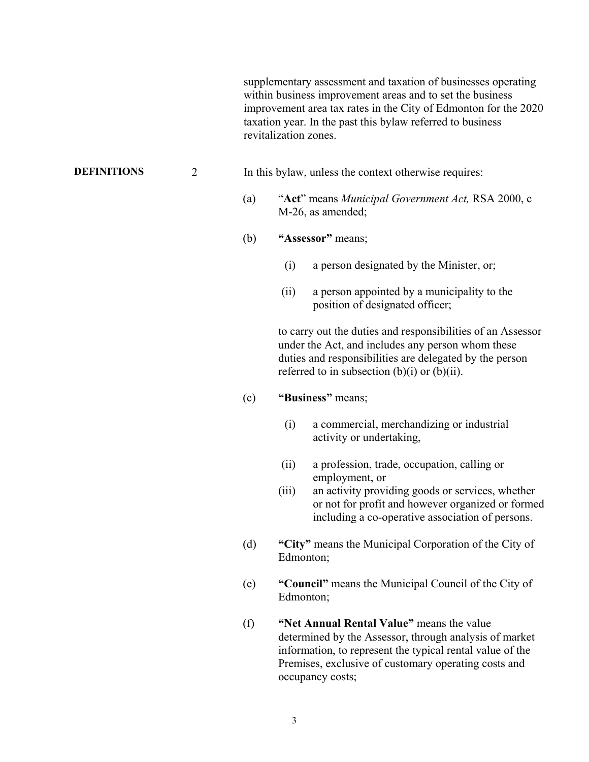supplementary assessment and taxation of businesses operating within business improvement areas and to set the business improvement area tax rates in the City of Edmonton for the 2020 taxation year. In the past this bylaw referred to business revitalization zones.

#### **DEFINITIONS** 2 In this bylaw, unless the context otherwise requires:

- (a) "**Act**" means *Municipal Government Act,* RSA 2000, c M-26, as amended;
- (b) **"Assessor"** means;
	- (i) a person designated by the Minister, or;
	- (ii) a person appointed by a municipality to the position of designated officer;

to carry out the duties and responsibilities of an Assessor under the Act, and includes any person whom these duties and responsibilities are delegated by the person referred to in subsection  $(b)(i)$  or  $(b)(ii)$ .

#### (c) **"Business"** means;

- (i) a commercial, merchandizing or industrial activity or undertaking,
- (ii) a profession, trade, occupation, calling or employment, or
- (iii) an activity providing goods or services, whether or not for profit and however organized or formed including a co-operative association of persons.
- (d) **"City"** means the Municipal Corporation of the City of Edmonton;
- (e) **"Council"** means the Municipal Council of the City of Edmonton;
- (f) **"Net Annual Rental Value"** means the value determined by the Assessor, through analysis of market information, to represent the typical rental value of the Premises, exclusive of customary operating costs and occupancy costs;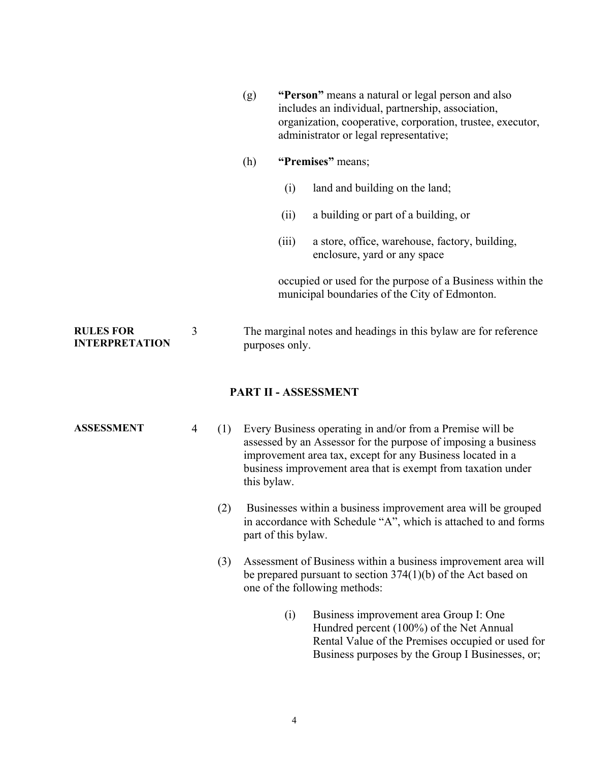|                                           |   | (g) | "Person" means a natural or legal person and also<br>includes an individual, partnership, association,<br>organization, cooperative, corporation, trustee, executor,<br>administrator or legal representative; |                                                                                                            |  |
|-------------------------------------------|---|-----|----------------------------------------------------------------------------------------------------------------------------------------------------------------------------------------------------------------|------------------------------------------------------------------------------------------------------------|--|
|                                           |   | (h) | "Premises" means;                                                                                                                                                                                              |                                                                                                            |  |
|                                           |   |     | (i)                                                                                                                                                                                                            | land and building on the land;                                                                             |  |
|                                           |   |     | (ii)                                                                                                                                                                                                           | a building or part of a building, or                                                                       |  |
|                                           |   |     | (iii)                                                                                                                                                                                                          | a store, office, warehouse, factory, building,<br>enclosure, yard or any space                             |  |
|                                           |   |     |                                                                                                                                                                                                                | occupied or used for the purpose of a Business within the<br>municipal boundaries of the City of Edmonton. |  |
| <b>RULES FOR</b><br><b>INTERPRETATION</b> | 3 |     | The marginal notes and headings in this bylaw are for reference<br>purposes only.                                                                                                                              |                                                                                                            |  |
| PART II - ASSESSMENT                      |   |     |                                                                                                                                                                                                                |                                                                                                            |  |

- **ASSESSMENT** 4 (1) Every Business operating in and/or from a Premise will be assessed by an Assessor for the purpose of imposing a business improvement area tax, except for any Business located in a business improvement area that is exempt from taxation under this bylaw.
	- (2) Businesses within a business improvement area will be grouped in accordance with Schedule "A", which is attached to and forms part of this bylaw.
	- (3) Assessment of Business within a business improvement area will be prepared pursuant to section 374(1)(b) of the Act based on one of the following methods:
		- (i) Business improvement area Group I: One Hundred percent (100%) of the Net Annual Rental Value of the Premises occupied or used for Business purposes by the Group I Businesses, or;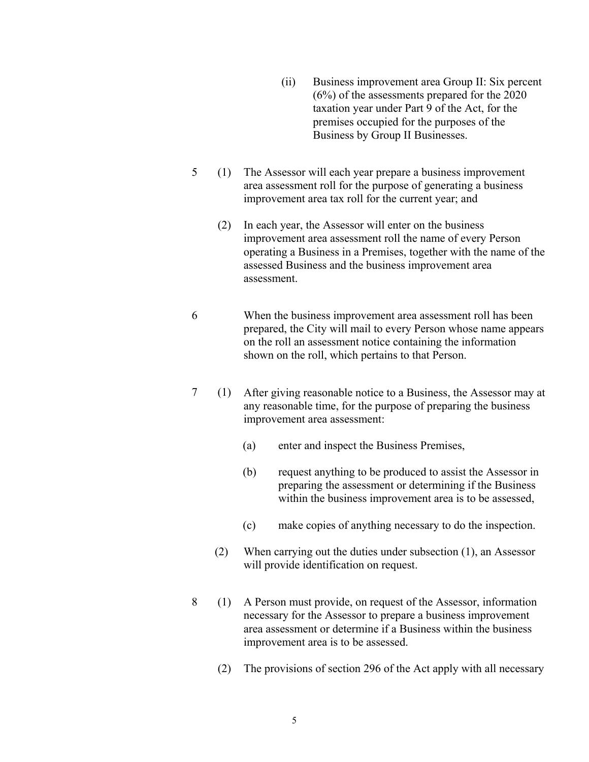- (ii) Business improvement area Group II: Six percent (6%) of the assessments prepared for the 2020 taxation year under Part 9 of the Act, for the premises occupied for the purposes of the Business by Group II Businesses.
- $5 (1)$ The Assessor will each year prepare a business improvement area assessment roll for the purpose of generating a business improvement area tax roll for the current year; and
	- (2) In each year, the Assessor will enter on the business improvement area assessment roll the name of every Person operating a Business in a Premises, together with the name of the assessed Business and the business improvement area assessment.
- 6 When the business improvement area assessment roll has been prepared, the City will mail to every Person whose name appears on the roll an assessment notice containing the information shown on the roll, which pertains to that Person.
- 7 (1) After giving reasonable notice to a Business, the Assessor may at any reasonable time, for the purpose of preparing the business improvement area assessment:
	- (a) enter and inspect the Business Premises,
	- (b) request anything to be produced to assist the Assessor in preparing the assessment or determining if the Business within the business improvement area is to be assessed,
	- (c) make copies of anything necessary to do the inspection.
	- (2) When carrying out the duties under subsection (1), an Assessor will provide identification on request.
- 8 (1) A Person must provide, on request of the Assessor, information necessary for the Assessor to prepare a business improvement area assessment or determine if a Business within the business improvement area is to be assessed.
	- (2) The provisions of section 296 of the Act apply with all necessary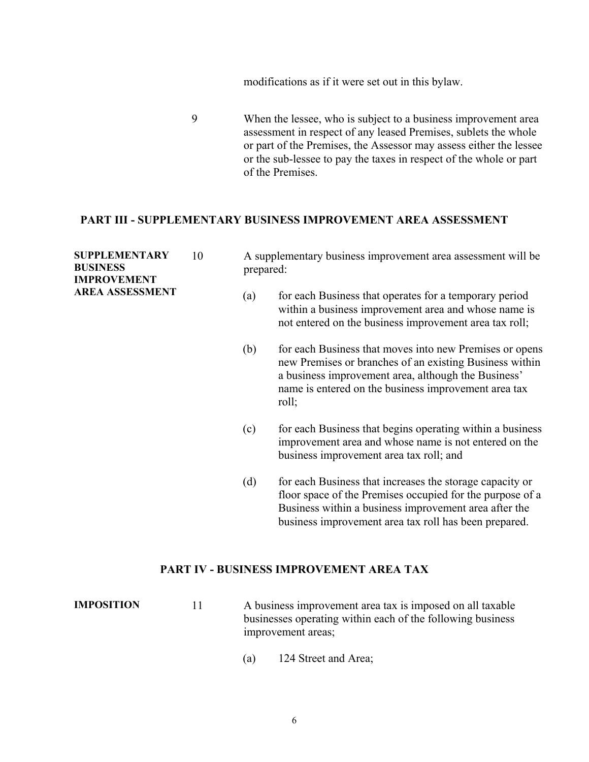modifications as if it were set out in this bylaw.

9 When the lessee, who is subject to a business improvement area assessment in respect of any leased Premises, sublets the whole or part of the Premises, the Assessor may assess either the lessee or the sub-lessee to pay the taxes in respect of the whole or part of the Premises.

#### **PART III - SUPPLEMENTARY BUSINESS IMPROVEMENT AREA ASSESSMENT**

| <b>SUPPLEMENTARY</b><br><b>BUSINESS</b><br><b>IMPROVEMENT</b><br><b>AREA ASSESSMENT</b> | 10 | A supplementary business improvement area assessment will be<br>prepared: |                                                                                                                                                                                                                                            |  |
|-----------------------------------------------------------------------------------------|----|---------------------------------------------------------------------------|--------------------------------------------------------------------------------------------------------------------------------------------------------------------------------------------------------------------------------------------|--|
|                                                                                         |    | (a)                                                                       | for each Business that operates for a temporary period<br>within a business improvement area and whose name is<br>not entered on the business improvement area tax roll;                                                                   |  |
|                                                                                         |    | (b)                                                                       | for each Business that moves into new Premises or opens<br>new Premises or branches of an existing Business within<br>a business improvement area, although the Business'<br>name is entered on the business improvement area tax<br>roll; |  |
|                                                                                         |    | (c)                                                                       | for each Business that begins operating within a business<br>improvement area and whose name is not entered on the<br>business improvement area tax roll; and                                                                              |  |
|                                                                                         |    | (d)                                                                       | for each Business that increases the storage capacity or<br>floor space of the Premises occupied for the purpose of a<br>Business within a business improvement area after the<br>business improvement area tax roll has been prepared.    |  |

### **PART IV - BUSINESS IMPROVEMENT AREA TAX**

**IMPOSITION** 11 A business improvement area tax is imposed on all taxable businesses operating within each of the following business improvement areas;

(a) 124 Street and Area;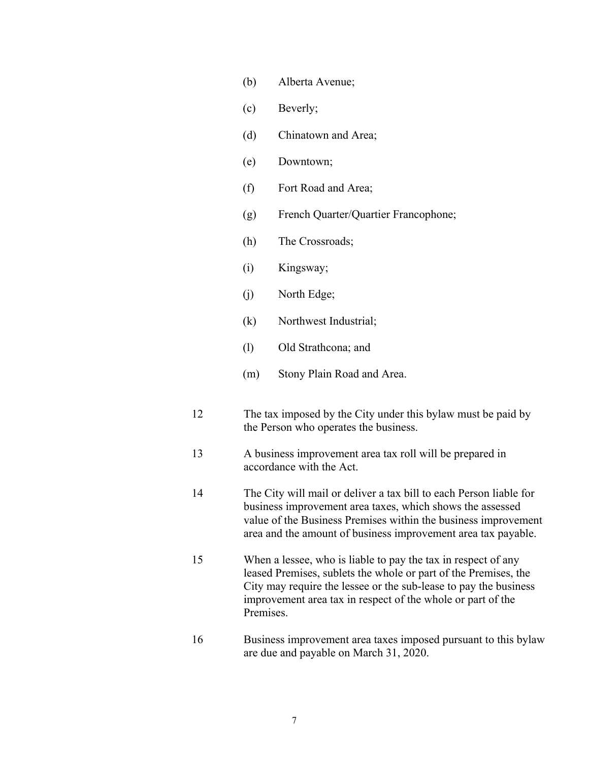- (b) Alberta Avenue;
- (c) Beverly;
- (d) Chinatown and Area;
- (e) Downtown;
- (f) Fort Road and Area;
- (g) French Quarter/Quartier Francophone;
- (h) The Crossroads;
- (i) Kingsway;
- (j) North Edge;
- (k) Northwest Industrial;
- (l) Old Strathcona; and
- (m) Stony Plain Road and Area.
- 12 The tax imposed by the City under this bylaw must be paid by the Person who operates the business.
- 13 A business improvement area tax roll will be prepared in accordance with the Act.
- 14 The City will mail or deliver a tax bill to each Person liable for business improvement area taxes, which shows the assessed value of the Business Premises within the business improvement area and the amount of business improvement area tax payable.
- 15 When a lessee, who is liable to pay the tax in respect of any leased Premises, sublets the whole or part of the Premises, the City may require the lessee or the sub-lease to pay the business improvement area tax in respect of the whole or part of the Premises.
- 16 Business improvement area taxes imposed pursuant to this bylaw are due and payable on March 31, 2020.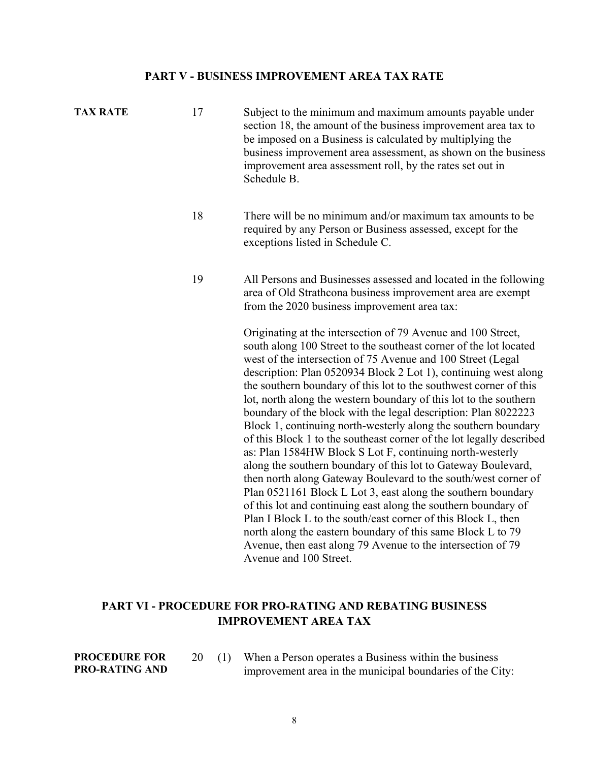#### **PART V - BUSINESS IMPROVEMENT AREA TAX RATE**

- **TAX RATE** 17 Subject to the minimum and maximum amounts payable under section 18, the amount of the business improvement area tax to be imposed on a Business is calculated by multiplying the business improvement area assessment, as shown on the business improvement area assessment roll, by the rates set out in Schedule B.
	- 18 There will be no minimum and/or maximum tax amounts to be required by any Person or Business assessed, except for the exceptions listed in Schedule C.
	- 19 All Persons and Businesses assessed and located in the following area of Old Strathcona business improvement area are exempt from the 2020 business improvement area tax:

Originating at the intersection of 79 Avenue and 100 Street, south along 100 Street to the southeast corner of the lot located west of the intersection of 75 Avenue and 100 Street (Legal description: Plan 0520934 Block 2 Lot 1), continuing west along the southern boundary of this lot to the southwest corner of this lot, north along the western boundary of this lot to the southern boundary of the block with the legal description: Plan 8022223 Block 1, continuing north-westerly along the southern boundary of this Block 1 to the southeast corner of the lot legally described as: Plan 1584HW Block S Lot F, continuing north-westerly along the southern boundary of this lot to Gateway Boulevard, then north along Gateway Boulevard to the south/west corner of Plan 0521161 Block L Lot 3, east along the southern boundary of this lot and continuing east along the southern boundary of Plan I Block L to the south/east corner of this Block L, then north along the eastern boundary of this same Block L to 79 Avenue, then east along 79 Avenue to the intersection of 79 Avenue and 100 Street.

# **PART VI - PROCEDURE FOR PRO-RATING AND REBATING BUSINESS IMPROVEMENT AREA TAX**

- **PROCEDURE FOR PRO-RATING AND**
- 20 (1) When a Person operates a Business within the business improvement area in the municipal boundaries of the City: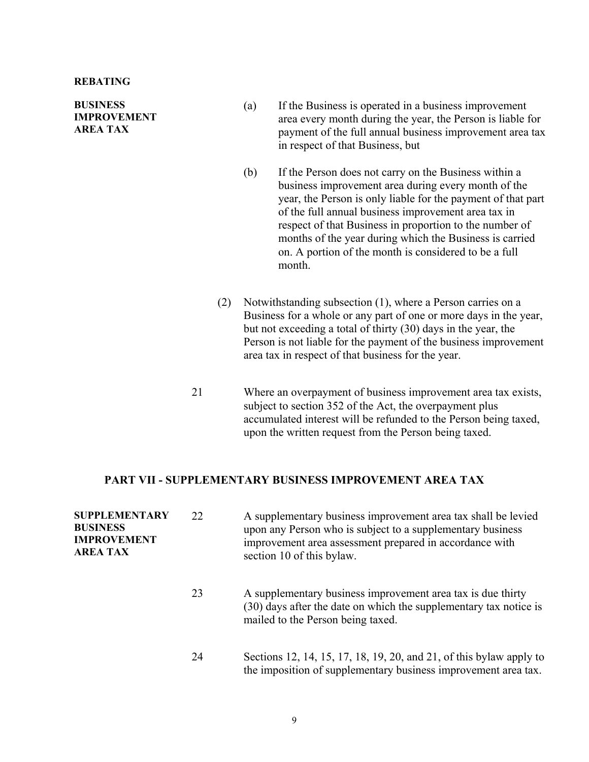**BUSINESS IMPROVEMENT AREA TAX** 

- (a) If the Business is operated in a business improvement area every month during the year, the Person is liable for payment of the full annual business improvement area tax in respect of that Business, but
- (b) If the Person does not carry on the Business within a business improvement area during every month of the year, the Person is only liable for the payment of that part of the full annual business improvement area tax in respect of that Business in proportion to the number of months of the year during which the Business is carried on. A portion of the month is considered to be a full month.
- (2) Notwithstanding subsection (1), where a Person carries on a Business for a whole or any part of one or more days in the year, but not exceeding a total of thirty (30) days in the year, the Person is not liable for the payment of the business improvement area tax in respect of that business for the year.
- 21 Where an overpayment of business improvement area tax exists, subject to section 352 of the Act, the overpayment plus accumulated interest will be refunded to the Person being taxed, upon the written request from the Person being taxed.

#### **PART VII - SUPPLEMENTARY BUSINESS IMPROVEMENT AREA TAX**

| <b>SUPPLEMENTARY</b><br><b>BUSINESS</b><br><b>IMPROVEMENT</b><br><b>AREA TAX</b> | 22 | A supplementary business improvement area tax shall be levied<br>upon any Person who is subject to a supplementary business<br>improvement area assessment prepared in accordance with<br>section 10 of this bylaw. |
|----------------------------------------------------------------------------------|----|---------------------------------------------------------------------------------------------------------------------------------------------------------------------------------------------------------------------|
|                                                                                  | 23 | A supplementary business improvement area tax is due thirty<br>(30) days after the date on which the supplementary tax notice is<br>mailed to the Person being taxed.                                               |
|                                                                                  | 24 | Sections 12, 14, 15, 17, 18, 19, 20, and 21, of this bylaw apply to<br>the imposition of supplementary business improvement area tax.                                                                               |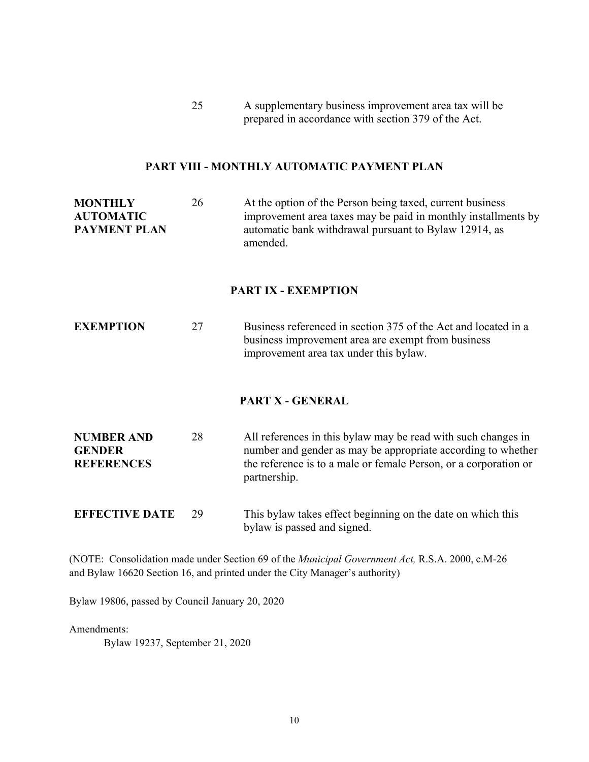25 A supplementary business improvement area tax will be prepared in accordance with section 379 of the Act.

#### **PART VIII - MONTHLY AUTOMATIC PAYMENT PLAN**

**MONTHLY AUTOMATIC PAYMENT PLAN** 26 At the option of the Person being taxed, current business improvement area taxes may be paid in monthly installments by automatic bank withdrawal pursuant to Bylaw 12914, as amended.

#### **PART IX - EXEMPTION**

**EXEMPTION** 27 Business referenced in section 375 of the Act and located in a business improvement area are exempt from business improvement area tax under this bylaw.

#### **PART X - GENERAL**

| <b>NUMBER AND</b> | 28 | All references in this bylaw may be read with such changes in    |
|-------------------|----|------------------------------------------------------------------|
| <b>GENDER</b>     |    | number and gender as may be appropriate according to whether     |
| <b>REFERENCES</b> |    | the reference is to a male or female Person, or a corporation or |
|                   |    | partnership.                                                     |

**EFFECTIVE DATE** 29 This bylaw takes effect beginning on the date on which this bylaw is passed and signed.

(NOTE: Consolidation made under Section 69 of the *Municipal Government Act,* R.S.A. 2000, c.M-26 and Bylaw 16620 Section 16, and printed under the City Manager's authority)

Bylaw 19806, passed by Council January 20, 2020

Amendments:

Bylaw 19237, September 21, 2020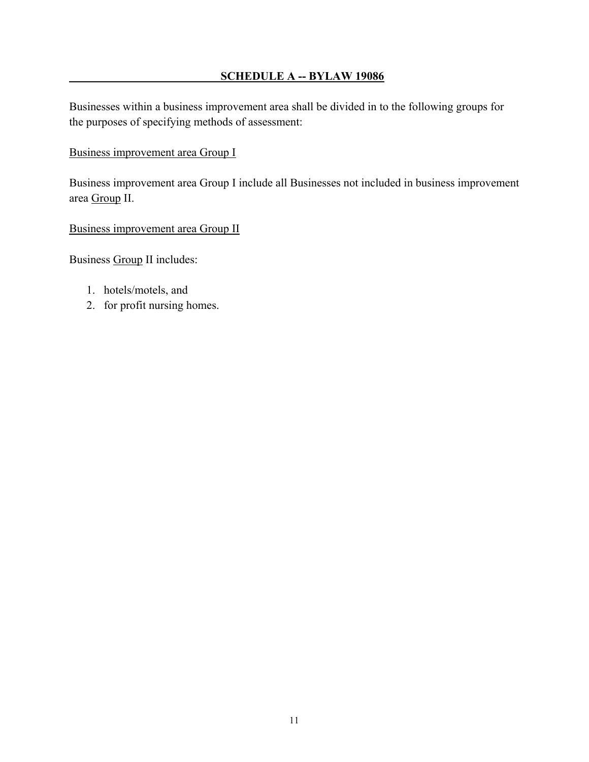# **SCHEDULE A -- BYLAW 19086**

Businesses within a business improvement area shall be divided in to the following groups for the purposes of specifying methods of assessment:

# Business improvement area Group I

Business improvement area Group I include all Businesses not included in business improvement area Group II.

Business improvement area Group II

Business Group II includes:

- 1. hotels/motels, and
- 2. for profit nursing homes.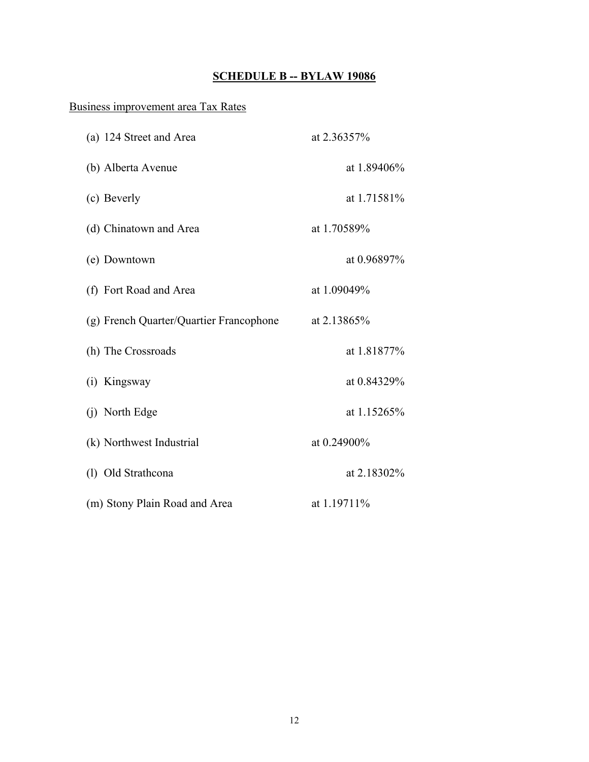# **SCHEDULE B -- BYLAW 19086**

# Business improvement area Tax Rates

| (a) 124 Street and Area                 | at 2.36357%    |
|-----------------------------------------|----------------|
| (b) Alberta Avenue                      | at 1.89406%    |
| (c) Beverly                             | at 1.71581%    |
| (d) Chinatown and Area                  | at 1.70589%    |
| (e) Downtown                            | at $0.96897\%$ |
| (f) Fort Road and Area                  | at 1.09049%    |
| (g) French Quarter/Quartier Francophone | at 2.13865%    |
| (h) The Crossroads                      | at 1.81877%    |
| (i) Kingsway                            | at 0.84329%    |
| (j) North Edge                          | at 1.15265%    |
| (k) Northwest Industrial                | at 0.24900%    |
| (1) Old Strathcona                      | at 2.18302%    |
| (m) Stony Plain Road and Area           | at 1.19711%    |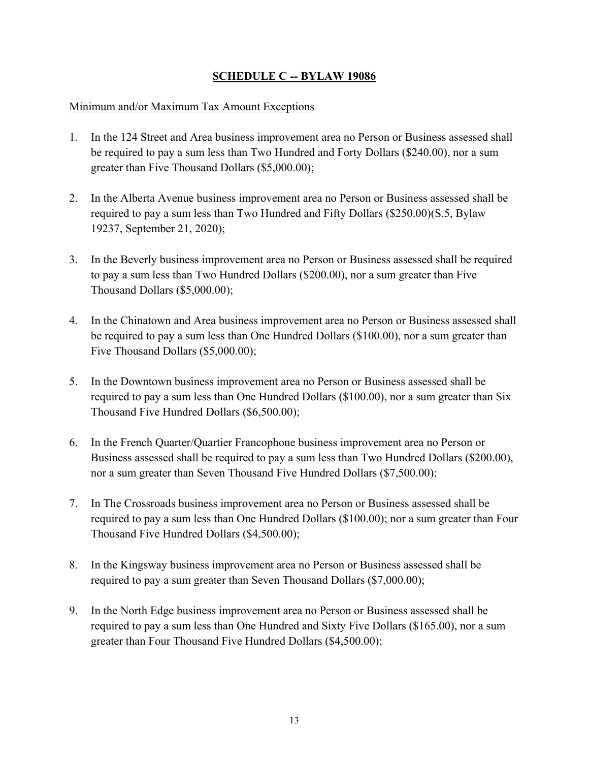# **SCHEDULE C -- BYLAW 19086**

### Minimum and/or Maximum Tax Amount Exceptions

- 1. In the 124 Street and Area business improvement area no Person or Business assessed shall be required to pay a sum less than Two Hundred and Forty Dollars (\$240.00), nor a sum greater than Five Thousand Dollars (\$5,000.00);
- 2. In the Alberta Avenue business improvement area no Person or Business assessed shall be required to pay a sum less than Two Hundred and Fifty Dollars (\$250.00)(S.5, Bylaw 19237, September 21, 2020);
- 3. In the Beverly business improvement area no Person or Business assessed shall be required to pay a sum less than Two Hundred Dollars (\$200.00), nor a sum greater than Five Thousand Dollars (\$5,000.00);
- 4. In the Chinatown and Area business improvement area no Person or Business assessed shall be required to pay a sum less than One Hundred Dollars (\$100.00), nor a sum greater than Five Thousand Dollars (\$5,000.00);
- 5. In the Downtown business improvement area no Person or Business assessed shall be required to pay a sum less than One Hundred Dollars (\$100.00), nor a sum greater than Six Thousand Five Hundred Dollars (\$6,500.00);
- 6. In the French Quarter/Quartier Francophone business improvement area no Person or Business assessed shall be required to pay a sum less than Two Hundred Dollars (\$200.00), nor a sum greater than Seven Thousand Five Hundred Dollars (\$7,500.00);
- 7. In The Crossroads business improvement area no Person or Business assessed shall be required to pay a sum less than One Hundred Dollars (\$100.00); nor a sum greater than Four Thousand Five Hundred Dollars (\$4,500.00);
- 8. In the Kingsway business improvement area no Person or Business assessed shall be required to pay a sum greater than Seven Thousand Dollars (\$7,000.00);
- 9. In the North Edge business improvement area no Person or Business assessed shall be required to pay a sum less than One Hundred and Sixty Five Dollars (\$165.00), nor a sum greater than Four Thousand Five Hundred Dollars (\$4,500.00);